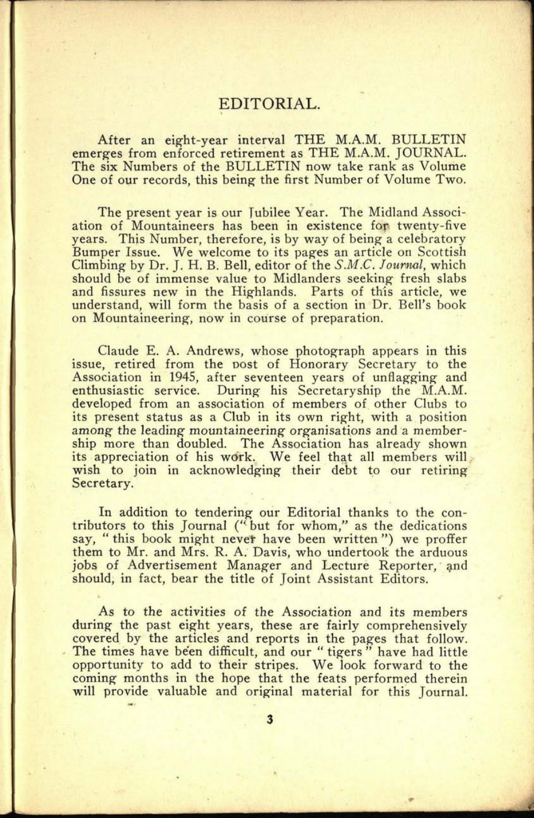## EDITORIAL.

**5. 0005**

After an eight-year interval THE M.A.M. BULLETIN emerges from enforced retirement as THE M.A.M. JOURNAL. The six Numbers of the BULLETIN now take rank as Volume One of our records, this being the first Number of Volume Two.

The present year is our Jubilee Year. The Midland Association of Mountaineers has been in existence for twenty-five years. This Number, therefore, is by way of being a celebratory Bumper Issue. We welcome to its pages an article on Scottish Climbing by Dr. J. H. B. Bell, editor of the *S.M.C. Journal,* which should be of immense value to Midlanders seeking fresh slabs and fissures new in the Highlands. Parts of this article, we understand, will form the basis of a section in Dr. Bell's book on Mountaineering, now in course of preparation.

Claude E. A. Andrews, whose photograph appears in this issue, retired from the post of Honorary Secretary to the Association in 1945, after seventeen years of unflagging and enthusiastic service. During his Secretaryship the M.A.M. developed from an association of members of other Clubs to its present status as a Club in its own right, with a position among the leading mountaineering organisations and a membership more than doubled. The Association has already shown its appreciation of his work. We feel that all members will wish to join in acknowledging their debt to our retiring Secretary.

In addition to tendering our Editorial thanks to the contributors to this Journal ("but for whom," as the dedications say, " this book might never have been written") we proffer them to Mr. and Mrs. R. A. Davis, who undertook the arduous jobs of Advertisement Manager and Lecture Reporter, and should, in fact, bear the title of Joint Assistant Editors.

As to the activities of the Association and its members during the past eight years, these are fairly comprehensively covered by the articles and reports in the pages that follow. The times have been difficult, and our "tigers" have had little opportunity to add to their stripes. We look forward to the coming months in the hope that the feats performed therein will provide valuable and original material for this Journal.